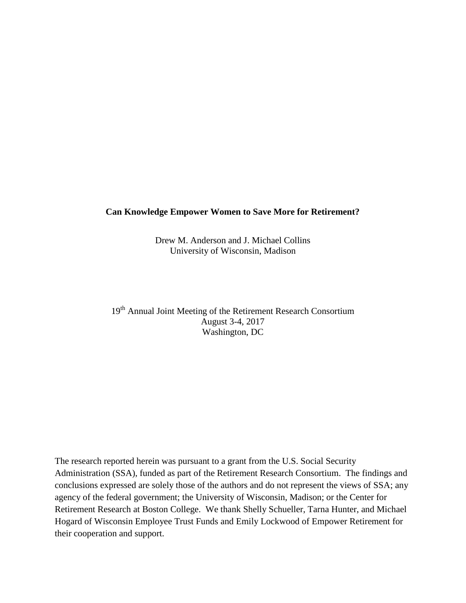## **Can Knowledge Empower Women to Save More for Retirement?**

Drew M. Anderson and J. Michael Collins University of Wisconsin, Madison

19<sup>th</sup> Annual Joint Meeting of the Retirement Research Consortium August 3-4, 2017 Washington, DC

The research reported herein was pursuant to a grant from the U.S. Social Security Administration (SSA), funded as part of the Retirement Research Consortium. The findings and conclusions expressed are solely those of the authors and do not represent the views of SSA; any agency of the federal government; the University of Wisconsin, Madison; or the Center for Retirement Research at Boston College. We thank Shelly Schueller, Tarna Hunter, and Michael Hogard of Wisconsin Employee Trust Funds and Emily Lockwood of Empower Retirement for their cooperation and support.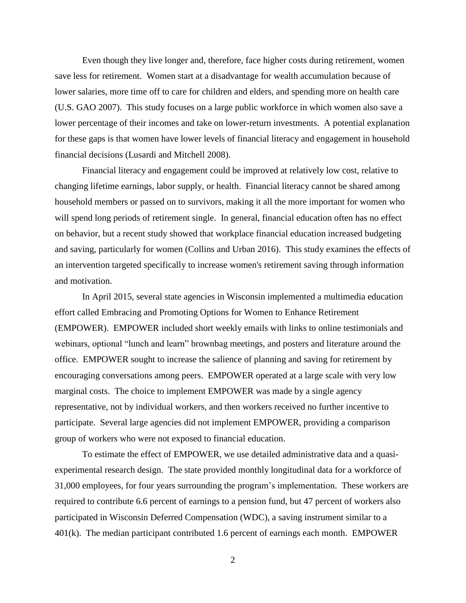Even though they live longer and, therefore, face higher costs during retirement, women save less for retirement. Women start at a disadvantage for wealth accumulation because of lower salaries, more time off to care for children and elders, and spending more on health care (U.S. GAO 2007). This study focuses on a large public workforce in which women also save a lower percentage of their incomes and take on lower-return investments. A potential explanation for these gaps is that women have lower levels of financial literacy and engagement in household financial decisions (Lusardi and Mitchell 2008).

Financial literacy and engagement could be improved at relatively low cost, relative to changing lifetime earnings, labor supply, or health. Financial literacy cannot be shared among household members or passed on to survivors, making it all the more important for women who will spend long periods of retirement single. In general, financial education often has no effect on behavior, but a recent study showed that workplace financial education increased budgeting and saving, particularly for women (Collins and Urban 2016). This study examines the effects of an intervention targeted specifically to increase women's retirement saving through information and motivation.

In April 2015, several state agencies in Wisconsin implemented a multimedia education effort called Embracing and Promoting Options for Women to Enhance Retirement (EMPOWER). EMPOWER included short weekly emails with links to online testimonials and webinars, optional "lunch and learn" brownbag meetings, and posters and literature around the office. EMPOWER sought to increase the salience of planning and saving for retirement by encouraging conversations among peers. EMPOWER operated at a large scale with very low marginal costs. The choice to implement EMPOWER was made by a single agency representative, not by individual workers, and then workers received no further incentive to participate. Several large agencies did not implement EMPOWER, providing a comparison group of workers who were not exposed to financial education.

To estimate the effect of EMPOWER, we use detailed administrative data and a quasiexperimental research design. The state provided monthly longitudinal data for a workforce of 31,000 employees, for four years surrounding the program's implementation. These workers are required to contribute 6.6 percent of earnings to a pension fund, but 47 percent of workers also participated in Wisconsin Deferred Compensation (WDC), a saving instrument similar to a 401(k). The median participant contributed 1.6 percent of earnings each month. EMPOWER

2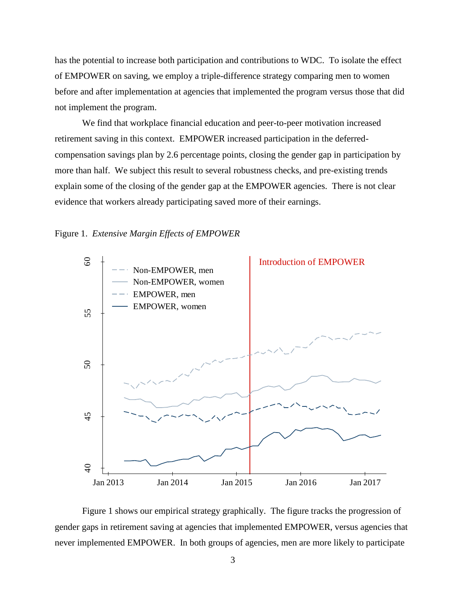has the potential to increase both participation and contributions to WDC. To isolate the effect of EMPOWER on saving, we employ a triple-difference strategy comparing men to women before and after implementation at agencies that implemented the program versus those that did not implement the program.

We find that workplace financial education and peer-to-peer motivation increased retirement saving in this context. EMPOWER increased participation in the deferredcompensation savings plan by 2.6 percentage points, closing the gender gap in participation by more than half. We subject this result to several robustness checks, and pre-existing trends explain some of the closing of the gender gap at the EMPOWER agencies. There is not clear evidence that workers already participating saved more of their earnings.

## Figure 1. *Extensive Margin Effects of EMPOWER*



Figure 1 shows our empirical strategy graphically. The figure tracks the progression of gender gaps in retirement saving at agencies that implemented EMPOWER, versus agencies that never implemented EMPOWER. In both groups of agencies, men are more likely to participate